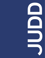





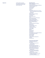Supporters **Supporters Judd Foundation is thankful** to our generous supporters who donated between July 1st, 2018 and June 30th, 2019

## Marfa Restoration

Robert C. Beyer and Loren Pack Suzanne Deal Booth Alexandra Bowes and Stephen Williamson The Brown Foundation, Inc. Scott P. Campbell Casa Dragones City of Marfa Cosme Crane & Co. Cynthia Woods Mitchell Fund for Historic Interiors of the National Trust for Historic Preservation David Zwirner Dudley and Michael Del Balso Dennis Dickinson Jack Dorsey Eleven Madison Park Emeco Anne-Cecilie Engell and Rob Speyer Mack and Cece Fowler Galerie Thaddaeus Ropac Emily Glasser and Billy Susman Bertha González Nieves Marty and David Hamamoto Hermès Horace W. Goldsmith Foundation Daniel Humm Benjamin Hunter Jim and Kathleen Jacobs Stephanie LaCava Jennifer and Trey Laird Lisson Gallery Anthony Meier Mignoni Nazy Nazhand Enrique Olvera Pace Gallery Pilar Crespi Roberts and Stephen Roberts Suzi Davidoff and Carl Ryan Salon 94 Design Ellen F. Salpeter Alison Sarofim Jennifer and Anton Segerstrom Sotheby's Anonymous (2)

# Government and Foundation

The Brown Foundation, Inc. City of Marfa City of New York Department of Cultural Affairs Davis Family Fund Dyett-Richardson Family Fund Susan Pamela Markham Heller Fund James Howell Foundation Inc. National Endowment for the Arts New York City Council Member Margaret Chin Permian Basin Area Foundation Pin. Freunde der Pinakothek der Moderne e.V. Pritchard Family Foundation The Debra and Dennis Scholl Fund at The Miami Foundation Sosnick Family Philanthropic Fund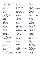Texas Commission on the Arts Tillapaugh Public History Fund of Permian Basin Area Foundation The Alice M. and Thomas J. Tisch Foundation, Inc.

## **Corporate**

Aesop Agave Festival Marfa Alpha Masonry Artek Casa Dragones Crane & Co. The Cultivist David Zwirner Füssinger & Wolff GmbH Galerie Thaddaeus Ropac Gagosian Gallery Hemmerle **Henrybuilt** inde/jacobs Gallery Kukje Gallery Marfa Book Company Mohawk Fine Papers Inc. Pace Gallery Richard's Rainwater Select Equity Group Sotheby's The Standard Hotel Tenletters Media, Inc. Tina Kim Gallery Tomas Maier, LLC

#### Patrons

Bob and Nora Ackerley Brooke Alexander Douglas Baxter Robert C. Beyer and Loren Pack Suzanne Deal Booth Peter M. Brant Spencer Brownstone Jennifer Chaiken and Sam Hamilton Alexandre and Lori Chemla Teresa Cruz-Karvelis Cecile and Christopher d'Amelio Dudley and Michael Del Balso Fred Martens and Anne Dette Beth Rudin DeWoody Dennis Dickinson Susan and Thomas Dunn George Economou Anne-Cecilie Engell and Rob Speyer Viveca Paulin-Ferrell & Will Ferrell Doris F. Fisher Mack and Cece Fowler Matthew Goudeau Tim Headington Stefan and Sylveli Hemmerle Ronnie Heyman Tracey Hummer Jim and Kathleen Jacobs Catherine Lagrange Jennifer and Trey Laird Jo Carole and Ronald S. Lauder Thomas H. Lee and Ann Tenenbaum Tammy and Jay Levine Dorothy Lichtenstein

Linda Lynch Tony Maddalena Henry S. McNeil Colt Melton and Manuel Navarro Stavros Merjos and Honor Fraser Fernando and Laila Mignoni Jean-Gabriel Mitterrand Thomas Owen Lisa and John Pritzker Steve Pulimood Peter Ruggiero Ed and Danna Ruscha Suzi Davidoff and Carl Ryan Daniel Sallick and Elizabeth Miller Ellen F. Salpeter Anton and Jennifer Segerstrom Annabelle Selldorf Eugene Sepulveda Wolfgang and Anne Titze Lesley Vance and Ricky Swallow Roland Wolff Candace Worth Anonymous (3)

#### Individuals

Lauren Allday Eliza Allen Dalal AlMarzouk Camilo Alvarez Robert and Valerie Arber Richard Armstrong Greti Baez Elizabeth Calhoun Baker Kate Barber Reuben M. and Joan Boykoff Baron Terri Bartlett Maddy Beckwith Thomas Bedert Cecily Belford Judith Birdsong Erin Blondes Peggy A. and Ralph W. Burnet Nancy Caporaso Sara Carter Barbara Castelli Jeanette Chung Jack and Lisa Copeland Pauline Daly Peter Davies James B. Dearing and Carlota Schoolman Joan DePree Anand Devarajan Sravanthi Dev Laura Doll Christopher Dowling Julie Doyle and Tim Delaughter Peter D. Dudek David Egeland and Andrew Friedman Gayle Engel Karine Fakhry Tara Fass Giancarlo Floridi Brandon Folmar Nicole Forde Gay Gabbert Evan Gaffney

Gisela Gamper Charlotte Gazzaniga Michael Gentry Dave Gibson Dede Gile Duncan Goldie-Scot Siim M. Hanja Donna Harkavy and Jonathan Price Susan Harrison Charlie Hartley Charlotte Hauch Jaime Hernandez Daniel Holtz Jeffrey Hong Chrisie Ivo Sean Johnson Maitland Jones and Perla Delson Bill Katz Meg Kelly Jolene Kessler Mary Kilbourn Karen Kinney Mitchell Klink Sarah-Ann Kramarsky Janet Kupchick Jeff and Flo Laird Christian Larsen Raymond Learsy Susan Grant Lewin Susan and Glenn Lowry Robert Manley Matt McCarty Dylan McCullough Eric McDougall Barbara McLucas Robert Meckfessel Jane Mercier Terrance A. Mowers and Lindell Thorsen Nagel Stuart Nielsen Kevin O'Rourke Noreen OGrady Jennifer Pagnutti John Pawson Wendy Perron Jennifer and Charlie Phelps Giacomo Piazza Jaime Piera Andrew Pitts Lauren Potter Kellie Quint Deborah and Andy Rappaport Anne Resnik Andreas Ritter Gilberto Sandretto Ingrid Schaffner Robert and Linda Schmier Sarah Schroth Lynne Aubrey Seidler Susan Sheehan Mark Shelton Parker Shipp Harrie Siertsema Darren Snead Michele L. Snyder Charles Stachelberg Andrea Stover